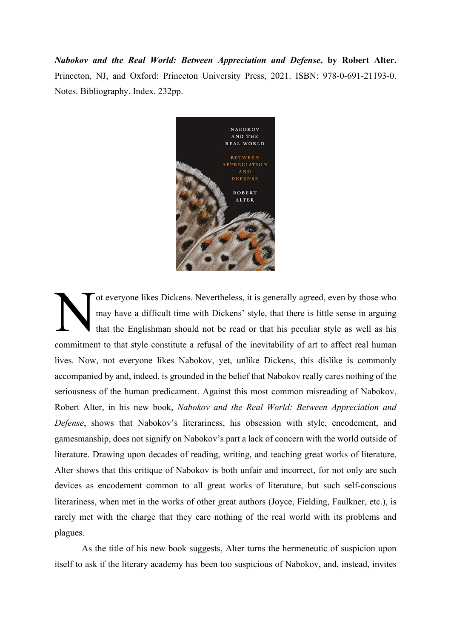*Nabokov and the Real World: Between Appreciation and Defense***, by Robert Alter.** Princeton, NJ, and Oxford: Princeton University Press, 2021. ISBN: 978-0-691-21193-0. Notes. Bibliography. Index. 232pp.



ot everyone likes Dickens. Nevertheless, it is generally agreed, even by those who may have a difficult time with Dickens' style, that there is little sense in arguing that the Englishman should not be read or that his peculiar style as well as his commitment to that style constitute a refusal of the inevitability of art to affect real human lives. Now, not everyone likes Nabokov, yet, unlike Dickens, this dislike is commonly accompanied by and, indeed, is grounded in the belief that Nabokov really cares nothing of the seriousness of the human predicament. Against this most common misreading of Nabokov, Robert Alter, in his new book, *Nabokov and the Real World: Between Appreciation and Defense*, shows that Nabokov's literariness, his obsession with style, encodement, and gamesmanship, does not signify on Nabokov's part a lack of concern with the world outside of literature. Drawing upon decades of reading, writing, and teaching great works of literature, Alter shows that this critique of Nabokov is both unfair and incorrect, for not only are such devices as encodement common to all great works of literature, but such self-conscious literariness, when met in the works of other great authors (Joyce, Fielding, Faulkner, etc.), is rarely met with the charge that they care nothing of the real world with its problems and plagues. N

As the title of his new book suggests, Alter turns the hermeneutic of suspicion upon itself to ask if the literary academy has been too suspicious of Nabokov, and, instead, invites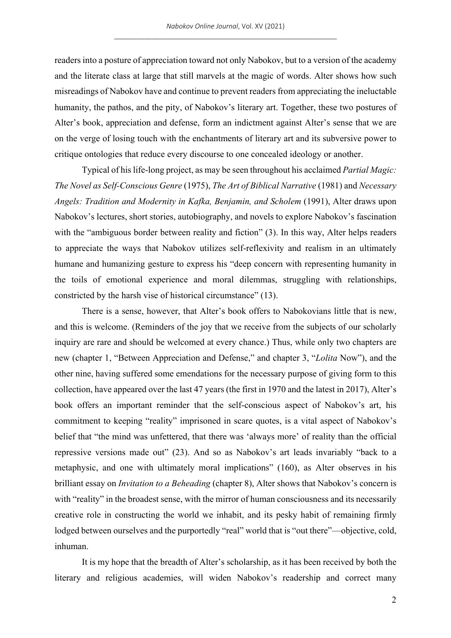readers into a posture of appreciation toward not only Nabokov, but to a version of the academy and the literate class at large that still marvels at the magic of words. Alter shows how such misreadings of Nabokov have and continue to prevent readers from appreciating the ineluctable humanity, the pathos, and the pity, of Nabokov's literary art. Together, these two postures of Alter's book, appreciation and defense, form an indictment against Alter's sense that we are on the verge of losing touch with the enchantments of literary art and its subversive power to critique ontologies that reduce every discourse to one concealed ideology or another.

Typical of his life-long project, as may be seen throughout his acclaimed *Partial Magic: The Novel as Self-Conscious Genre* (1975), *The Art of Biblical Narrative* (1981) and *Necessary Angels: Tradition and Modernity in Kafka, Benjamin, and Scholem* (1991), Alter draws upon Nabokov's lectures, short stories, autobiography, and novels to explore Nabokov's fascination with the "ambiguous border between reality and fiction" (3). In this way, Alter helps readers to appreciate the ways that Nabokov utilizes self-reflexivity and realism in an ultimately humane and humanizing gesture to express his "deep concern with representing humanity in the toils of emotional experience and moral dilemmas, struggling with relationships, constricted by the harsh vise of historical circumstance" (13).

There is a sense, however, that Alter's book offers to Nabokovians little that is new, and this is welcome. (Reminders of the joy that we receive from the subjects of our scholarly inquiry are rare and should be welcomed at every chance.) Thus, while only two chapters are new (chapter 1, "Between Appreciation and Defense," and chapter 3, "*Lolita* Now"), and the other nine, having suffered some emendations for the necessary purpose of giving form to this collection, have appeared over the last 47 years (the first in 1970 and the latest in 2017), Alter's book offers an important reminder that the self-conscious aspect of Nabokov's art, his commitment to keeping "reality" imprisoned in scare quotes, is a vital aspect of Nabokov's belief that "the mind was unfettered, that there was 'always more' of reality than the official repressive versions made out" (23). And so as Nabokov's art leads invariably "back to a metaphysic, and one with ultimately moral implications" (160), as Alter observes in his brilliant essay on *Invitation to a Beheading* (chapter 8), Alter shows that Nabokov's concern is with "reality" in the broadest sense, with the mirror of human consciousness and its necessarily creative role in constructing the world we inhabit, and its pesky habit of remaining firmly lodged between ourselves and the purportedly "real" world that is "out there"—objective, cold, inhuman.

It is my hope that the breadth of Alter's scholarship, as it has been received by both the literary and religious academies, will widen Nabokov's readership and correct many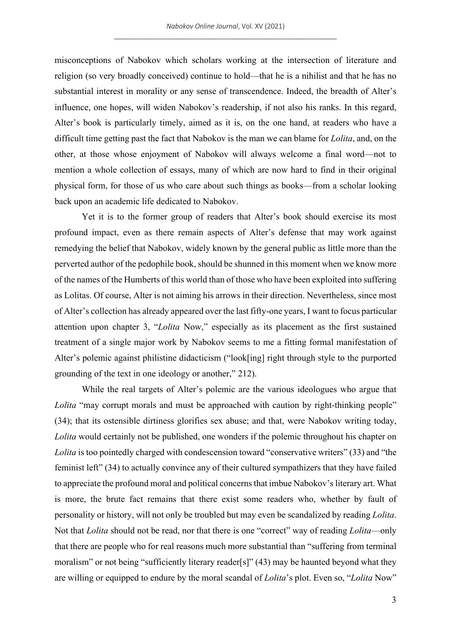misconceptions of Nabokov which scholars working at the intersection of literature and religion (so very broadly conceived) continue to hold—that he is a nihilist and that he has no substantial interest in morality or any sense of transcendence. Indeed, the breadth of Alter's influence, one hopes, will widen Nabokov's readership, if not also his ranks. In this regard, Alter's book is particularly timely, aimed as it is, on the one hand, at readers who have a difficult time getting past the fact that Nabokov is the man we can blame for *Lolita*, and, on the other, at those whose enjoyment of Nabokov will always welcome a final word—not to mention a whole collection of essays, many of which are now hard to find in their original physical form, for those of us who care about such things as books—from a scholar looking back upon an academic life dedicated to Nabokov.

Yet it is to the former group of readers that Alter's book should exercise its most profound impact, even as there remain aspects of Alter's defense that may work against remedying the belief that Nabokov, widely known by the general public as little more than the perverted author of the pedophile book, should be shunned in this moment when we know more of the names of the Humberts of this world than of those who have been exploited into suffering as Lolitas. Of course, Alter is not aiming his arrows in their direction. Nevertheless, since most of Alter's collection has already appeared over the last fifty-one years, I want to focus particular attention upon chapter 3, "*Lolita* Now," especially as its placement as the first sustained treatment of a single major work by Nabokov seems to me a fitting formal manifestation of Alter's polemic against philistine didacticism ("look[ing] right through style to the purported grounding of the text in one ideology or another," 212).

While the real targets of Alter's polemic are the various ideologues who argue that *Lolita* "may corrupt morals and must be approached with caution by right-thinking people" (34); that its ostensible dirtiness glorifies sex abuse; and that, were Nabokov writing today, *Lolita* would certainly not be published, one wonders if the polemic throughout his chapter on *Lolita* is too pointedly charged with condescension toward "conservative writers" (33) and "the feminist left" (34) to actually convince any of their cultured sympathizers that they have failed to appreciate the profound moral and political concerns that imbue Nabokov's literary art. What is more, the brute fact remains that there exist some readers who, whether by fault of personality or history, will not only be troubled but may even be scandalized by reading *Lolita*. Not that *Lolita* should not be read, nor that there is one "correct" way of reading *Lolita*—only that there are people who for real reasons much more substantial than "suffering from terminal moralism" or not being "sufficiently literary reader[s]" (43) may be haunted beyond what they are willing or equipped to endure by the moral scandal of *Lolita*'s plot. Even so, "*Lolita* Now"